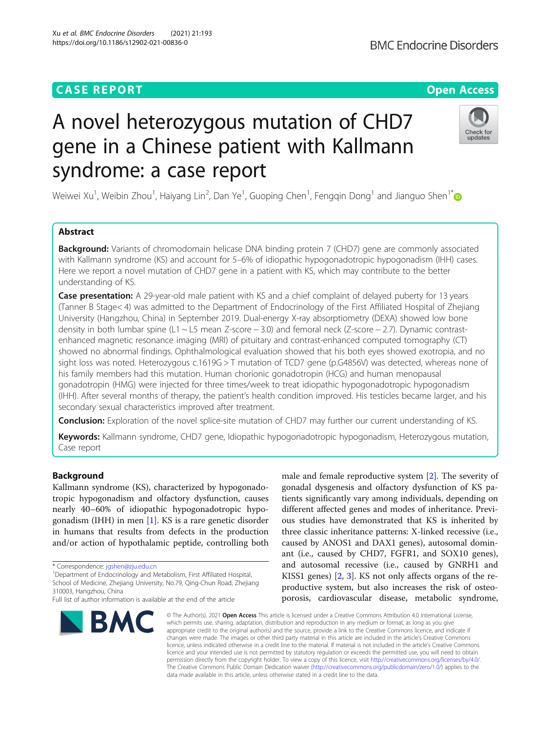## **CASE REPORT CASE ACCESS**

# A novel heterozygous mutation of CHD7 gene in a Chinese patient with Kallmann syndrome: a case report

Weiwei Xu<sup>1</sup>, Weibin Zhou<sup>1</sup>, Haiyang Lin<sup>2</sup>, Dan Ye<sup>1</sup>, Guoping Chen<sup>1</sup>, Fengqin Dong<sup>1</sup> and Jianguo Shen<sup>1\*</sup>

### Abstract

**Background:** Variants of chromodomain helicase DNA binding protein 7 (CHD7) gene are commonly associated with Kallmann syndrome (KS) and account for 5–6% of idiopathic hypogonadotropic hypogonadism (IHH) cases. Here we report a novel mutation of CHD7 gene in a patient with KS, which may contribute to the better understanding of KS.

Case presentation: A 29-year-old male patient with KS and a chief complaint of delayed puberty for 13 years (Tanner B Stage< 4) was admitted to the Department of Endocrinology of the First Affiliated Hospital of Zhejiang University (Hangzhou, China) in September 2019. Dual-energy X-ray absorptiometry (DEXA) showed low bone density in both lumbar spine (L1 ~ L5 mean Z-score − 3.0) and femoral neck (Z-score − 2.7). Dynamic contrastenhanced magnetic resonance imaging (MRI) of pituitary and contrast-enhanced computed tomography (CT) showed no abnormal findings. Ophthalmological evaluation showed that his both eyes showed exotropia, and no sight loss was noted. Heterozygous c.1619G > T mutation of TCD7 gene (p.G4856V) was detected, whereas none of his family members had this mutation. Human chorionic gonadotropin (HCG) and human menopausal gonadotropin (HMG) were injected for three times/week to treat idiopathic hypogonadotropic hypogonadism (IHH). After several months of therapy, the patient's health condition improved. His testicles became larger, and his secondary sexual characteristics improved after treatment.

Conclusion: Exploration of the novel splice-site mutation of CHD7 may further our current understanding of KS.

Keywords: Kallmann syndrome, CHD7 gene, Idiopathic hypogonadotropic hypogonadism, Heterozygous mutation, Case report

#### Background

Kallmann syndrome (KS), characterized by hypogonadotropic hypogonadism and olfactory dysfunction, causes nearly 40–60% of idiopathic hypogonadotropic hypogonadism (IHH) in men [[1\]](#page-4-0). KS is a rare genetic disorder in humans that results from defects in the production and/or action of hypothalamic peptide, controlling both

<sup>1</sup>Department of Endocrinology and Metabolism, First Affiliated Hospital, School of Medicine, Zhejiang University, No.79, Qing-Chun Road, Zhejiang 310003, Hangzhou, China

#### Xu et al. BMC Endocrine Disorders (2021) 21:193 https://doi.org/10.1186/s12902-021-00836-0

**BMC** 

gonadal dysgenesis and olfactory dysfunction of KS patients significantly vary among individuals, depending on different affected genes and modes of inheritance. Previous studies have demonstrated that KS is inherited by three classic inheritance patterns: X-linked recessive (i.e., caused by ANOS1 and DAX1 genes), autosomal dominant (i.e., caused by CHD7, FGFR1, and SOX10 genes), and autosomal recessive (i.e., caused by GNRH1 and KISS1 genes) [[2,](#page-4-0) [3\]](#page-4-0). KS not only affects organs of the reproductive system, but also increases the risk of osteoporosis, cardiovascular disease, metabolic syndrome,

male and female reproductive system [[2\]](#page-4-0). The severity of

© The Author(s), 2021 **Open Access** This article is licensed under a Creative Commons Attribution 4.0 International License, which permits use, sharing, adaptation, distribution and reproduction in any medium or format, as long as you give appropriate credit to the original author(s) and the source, provide a link to the Creative Commons licence, and indicate if changes were made. The images or other third party material in this article are included in the article's Creative Commons licence, unless indicated otherwise in a credit line to the material. If material is not included in the article's Creative Commons licence and your intended use is not permitted by statutory regulation or exceeds the permitted use, you will need to obtain permission directly from the copyright holder. To view a copy of this licence, visit [http://creativecommons.org/licenses/by/4.0/.](http://creativecommons.org/licenses/by/4.0/) The Creative Commons Public Domain Dedication waiver [\(http://creativecommons.org/publicdomain/zero/1.0/](http://creativecommons.org/publicdomain/zero/1.0/)) applies to the data made available in this article, unless otherwise stated in a credit line to the data.



Check for updates

<sup>\*</sup> Correspondence: [jgshen@zju.edu.cn](mailto:jgshen@zju.edu.cn) <sup>1</sup>

Full list of author information is available at the end of the article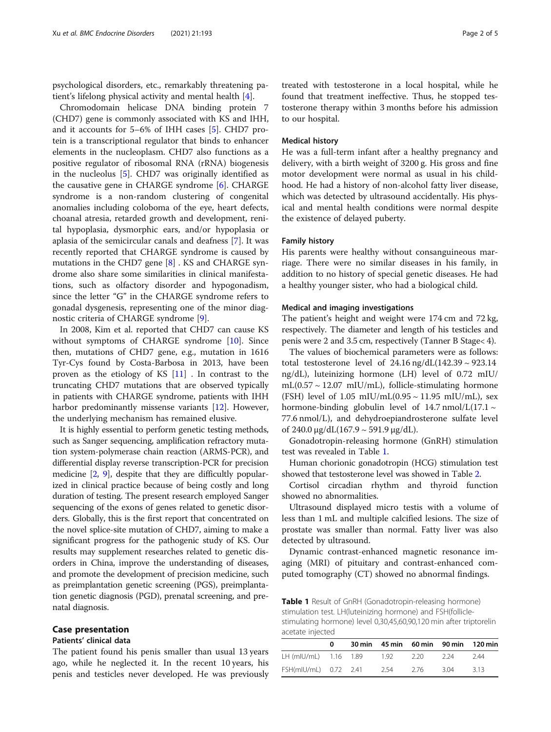psychological disorders, etc., remarkably threatening patient's lifelong physical activity and mental health [\[4](#page-4-0)].

Chromodomain helicase DNA binding protein 7 (CHD7) gene is commonly associated with KS and IHH, and it accounts for 5–6% of IHH cases [[5\]](#page-4-0). CHD7 protein is a transcriptional regulator that binds to enhancer elements in the nucleoplasm. CHD7 also functions as a positive regulator of ribosomal RNA (rRNA) biogenesis in the nucleolus [[5\]](#page-4-0). CHD7 was originally identified as the causative gene in CHARGE syndrome [[6\]](#page-4-0). CHARGE syndrome is a non-random clustering of congenital anomalies including coloboma of the eye, heart defects, choanal atresia, retarded growth and development, renital hypoplasia, dysmorphic ears, and/or hypoplasia or aplasia of the semicircular canals and deafness [[7\]](#page-4-0). It was recently reported that CHARGE syndrome is caused by mutations in the CHD7 gene [[8\]](#page-4-0) . KS and CHARGE syndrome also share some similarities in clinical manifestations, such as olfactory disorder and hypogonadism, since the letter "G" in the CHARGE syndrome refers to gonadal dysgenesis, representing one of the minor diagnostic criteria of CHARGE syndrome [[9\]](#page-4-0).

In 2008, Kim et al. reported that CHD7 can cause KS without symptoms of CHARGE syndrome [\[10](#page-4-0)]. Since then, mutations of CHD7 gene, e.g., mutation in 1616 Tyr-Cys found by Costa-Barbosa in 2013, have been proven as the etiology of KS [[11\]](#page-4-0) . In contrast to the truncating CHD7 mutations that are observed typically in patients with CHARGE syndrome, patients with IHH harbor predominantly missense variants [\[12](#page-4-0)]. However, the underlying mechanism has remained elusive.

It is highly essential to perform genetic testing methods, such as Sanger sequencing, amplification refractory mutation system-polymerase chain reaction (ARMS-PCR), and differential display reverse transcription-PCR for precision medicine [\[2](#page-4-0), [9](#page-4-0)], despite that they are difficultly popularized in clinical practice because of being costly and long duration of testing. The present research employed Sanger sequencing of the exons of genes related to genetic disorders. Globally, this is the first report that concentrated on the novel splice-site mutation of CHD7, aiming to make a significant progress for the pathogenic study of KS. Our results may supplement researches related to genetic disorders in China, improve the understanding of diseases, and promote the development of precision medicine, such as preimplantation genetic screening (PGS), preimplantation genetic diagnosis (PGD), prenatal screening, and prenatal diagnosis.

#### Case presentation

#### Patients' clinical data

The patient found his penis smaller than usual 13 years ago, while he neglected it. In the recent 10 years, his penis and testicles never developed. He was previously

treated with testosterone in a local hospital, while he found that treatment ineffective. Thus, he stopped testosterone therapy within 3 months before his admission to our hospital.

#### Medical history

He was a full-term infant after a healthy pregnancy and delivery, with a birth weight of 3200 g. His gross and fine motor development were normal as usual in his childhood. He had a history of non-alcohol fatty liver disease, which was detected by ultrasound accidentally. His physical and mental health conditions were normal despite the existence of delayed puberty.

#### Family history

His parents were healthy without consanguineous marriage. There were no similar diseases in his family, in addition to no history of special genetic diseases. He had a healthy younger sister, who had a biological child.

#### Medical and imaging investigations

The patient's height and weight were 174 cm and 72 kg, respectively. The diameter and length of his testicles and penis were 2 and 3.5 cm, respectively (Tanner B Stage< 4).

The values of biochemical parameters were as follows: total testosterone level of  $24.16$  ng/dL(142.39  $\sim$  923.14 ng/dL), luteinizing hormone (LH) level of 0.72 mIU/  $mL(0.57 \sim 12.07 \text{ mIU/mL})$ , follicle-stimulating hormone (FSH) level of  $1.05$  mIU/mL $(0.95 \sim 11.95$  mIU/mL), sex hormone-binding globulin level of  $14.7 \text{ nmol/L}$  $(17.1 \sim$ 77.6 nmol/L), and dehydroepiandrosterone sulfate level of  $240.0 \mu g/dL(167.9 \sim 591.9 \mu g/dL)$ .

Gonadotropin-releasing hormone (GnRH) stimulation test was revealed in Table 1.

Human chorionic gonadotropin (HCG) stimulation test showed that testosterone level was showed in Table [2](#page-2-0).

Cortisol circadian rhythm and thyroid function showed no abnormalities.

Ultrasound displayed micro testis with a volume of less than 1 mL and multiple calcified lesions. The size of prostate was smaller than normal. Fatty liver was also detected by ultrasound.

Dynamic contrast-enhanced magnetic resonance imaging (MRI) of pituitary and contrast-enhanced computed tomography (CT) showed no abnormal findings.

Table 1 Result of GnRH (Gonadotropin-releasing hormone) stimulation test. LH(luteinizing hormone) and FSH(folliclestimulating hormone) level 0,30,45,60,90,120 min after triptorelin acetate injected

|                       | o |        |        |       | 30 min 45 min 60 min 90 min 120 min |
|-----------------------|---|--------|--------|-------|-------------------------------------|
| LH (mIU/mL) 1.16 1.89 |   | - 1.92 | - 2.20 | -2 24 | 244                                 |
| FSH(mIU/mL) 0.72 2.41 |   | 2.54   | 2.76   | 3.04  | 313                                 |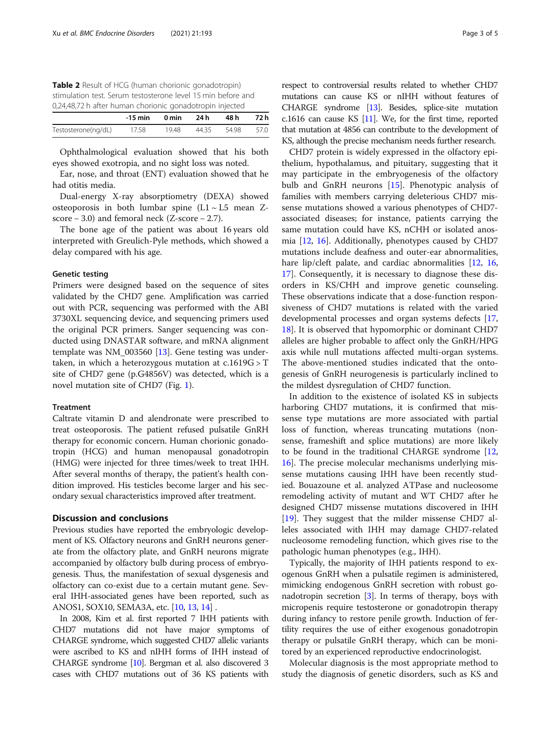<span id="page-2-0"></span>

| Table 2 Result of HCG (human chorionic gonadotropin)         |
|--------------------------------------------------------------|
| stimulation test. Serum testosterone level 15 min before and |
| 0,24,48,72 h after human chorionic gonadotropin injected     |

|                     | -15 min | 0 min | 24 h  | 48 h  | 72 h |
|---------------------|---------|-------|-------|-------|------|
| Testosterone(ng/dL) | 17.58   | 19.48 | 44.35 | 54.98 | 57.0 |

Ophthalmological evaluation showed that his both eyes showed exotropia, and no sight loss was noted.

Ear, nose, and throat (ENT) evaluation showed that he had otitis media.

Dual-energy X-ray absorptiometry (DEXA) showed osteoporosis in both lumbar spine  $(L1 \sim L5$  mean Zscore  $-3.0$ ) and femoral neck (Z-score  $-2.7$ ).

The bone age of the patient was about 16 years old interpreted with Greulich-Pyle methods, which showed a delay compared with his age.

#### Genetic testing

Primers were designed based on the sequence of sites validated by the CHD7 gene. Amplification was carried out with PCR, sequencing was performed with the ABI 3730XL sequencing device, and sequencing primers used the original PCR primers. Sanger sequencing was conducted using DNASTAR software, and mRNA alignment template was NM\_003560 [[13\]](#page-4-0). Gene testing was undertaken, in which a heterozygous mutation at  $c.1619G > T$ site of CHD7 gene (p.G4856V) was detected, which is a novel mutation site of CHD7 (Fig. [1](#page-3-0)).

#### Treatment

Caltrate vitamin D and alendronate were prescribed to treat osteoporosis. The patient refused pulsatile GnRH therapy for economic concern. Human chorionic gonadotropin (HCG) and human menopausal gonadotropin (HMG) were injected for three times/week to treat IHH. After several months of therapy, the patient's health condition improved. His testicles become larger and his secondary sexual characteristics improved after treatment.

#### Discussion and conclusions

Previous studies have reported the embryologic development of KS. Olfactory neurons and GnRH neurons generate from the olfactory plate, and GnRH neurons migrate accompanied by olfactory bulb during process of embryogenesis. Thus, the manifestation of sexual dysgenesis and olfactory can co-exist due to a certain mutant gene. Several IHH-associated genes have been reported, such as ANOS1, SOX10, SEMA3A, etc. [[10](#page-4-0), [13,](#page-4-0) [14\]](#page-4-0) .

In 2008, Kim et al. first reported 7 IHH patients with CHD7 mutations did not have major symptoms of CHARGE syndrome, which suggested CHD7 allelic variants were ascribed to KS and nIHH forms of IHH instead of CHARGE syndrome [[10\]](#page-4-0). Bergman et al. also discovered 3 cases with CHD7 mutations out of 36 KS patients with

respect to controversial results related to whether CHD7 mutations can cause KS or nIHH without features of CHARGE syndrome [\[13](#page-4-0)]. Besides, splice-site mutation c.1616 can cause KS [\[11](#page-4-0)]. We, for the first time, reported that mutation at 4856 can contribute to the development of KS, although the precise mechanism needs further research.

CHD7 protein is widely expressed in the olfactory epithelium, hypothalamus, and pituitary, suggesting that it may participate in the embryogenesis of the olfactory bulb and GnRH neurons [\[15](#page-4-0)]. Phenotypic analysis of families with members carrying deleterious CHD7 missense mutations showed a various phenotypes of CHD7 associated diseases; for instance, patients carrying the same mutation could have KS, nCHH or isolated anosmia [[12,](#page-4-0) [16](#page-4-0)]. Additionally, phenotypes caused by CHD7 mutations include deafness and outer-ear abnormalities, hare lip/cleft palate, and cardiac abnormalities [\[12,](#page-4-0) [16](#page-4-0), [17\]](#page-4-0). Consequently, it is necessary to diagnose these disorders in KS/CHH and improve genetic counseling. These observations indicate that a dose-function responsiveness of CHD7 mutations is related with the varied developmental processes and organ systems defects [[17](#page-4-0), [18\]](#page-4-0). It is observed that hypomorphic or dominant CHD7 alleles are higher probable to affect only the GnRH/HPG axis while null mutations affected multi-organ systems. The above-mentioned studies indicated that the ontogenesis of GnRH neurogenesis is particularly inclined to the mildest dysregulation of CHD7 function.

In addition to the existence of isolated KS in subjects harboring CHD7 mutations, it is confirmed that missense type mutations are more associated with partial loss of function, whereas truncating mutations (nonsense, frameshift and splice mutations) are more likely to be found in the traditional CHARGE syndrome [[12](#page-4-0), [16\]](#page-4-0). The precise molecular mechanisms underlying missense mutations causing IHH have been recently studied. Bouazoune et al. analyzed ATPase and nucleosome remodeling activity of mutant and WT CHD7 after he designed CHD7 missense mutations discovered in IHH [[19\]](#page-4-0). They suggest that the milder missense CHD7 alleles associated with IHH may damage CHD7-related nucleosome remodeling function, which gives rise to the pathologic human phenotypes (e.g., IHH).

Typically, the majority of IHH patients respond to exogenous GnRH when a pulsatile regimen is administered, mimicking endogenous GnRH secretion with robust gonadotropin secretion  $[3]$  $[3]$  $[3]$ . In terms of therapy, boys with micropenis require testosterone or gonadotropin therapy during infancy to restore penile growth. Induction of fertility requires the use of either exogenous gonadotropin therapy or pulsatile GnRH therapy, which can be monitored by an experienced reproductive endocrinologist.

Molecular diagnosis is the most appropriate method to study the diagnosis of genetic disorders, such as KS and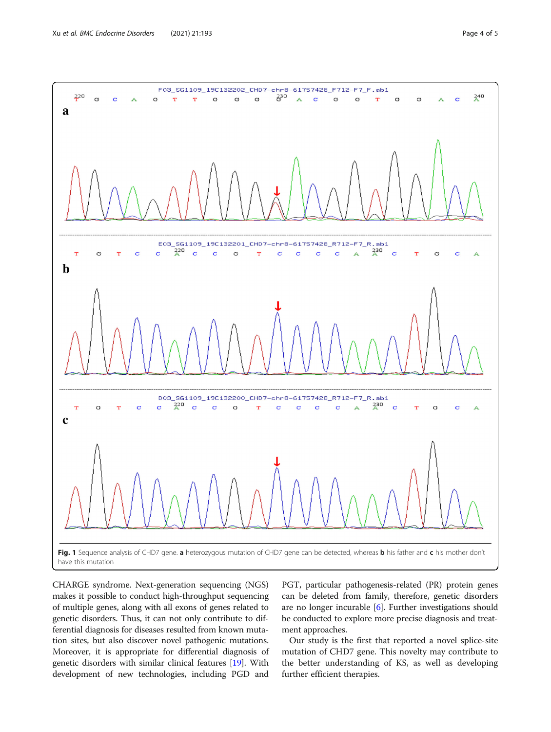<span id="page-3-0"></span>

CHARGE syndrome. Next-generation sequencing (NGS) makes it possible to conduct high-throughput sequencing of multiple genes, along with all exons of genes related to genetic disorders. Thus, it can not only contribute to differential diagnosis for diseases resulted from known mutation sites, but also discover novel pathogenic mutations. Moreover, it is appropriate for differential diagnosis of genetic disorders with similar clinical features [\[19\]](#page-4-0). With development of new technologies, including PGD and

PGT, particular pathogenesis-related (PR) protein genes can be deleted from family, therefore, genetic disorders are no longer incurable [[6\]](#page-4-0). Further investigations should be conducted to explore more precise diagnosis and treatment approaches.

Our study is the first that reported a novel splice-site mutation of CHD7 gene. This novelty may contribute to the better understanding of KS, as well as developing further efficient therapies.